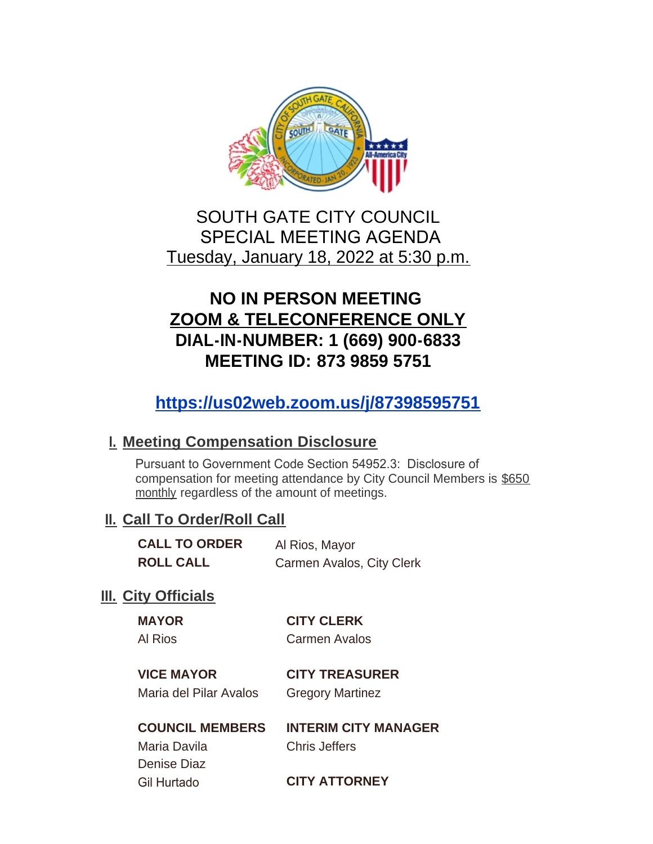

### SOUTH GATE CITY COUNCIL SPECIAL MEETING AGENDA Tuesday, January 18, 2022 at 5:30 p.m.

# **NO IN PERSON MEETING ZOOM & TELECONFERENCE ONLY DIAL-IN-NUMBER: 1 (669) 900-6833 MEETING ID: 873 9859 5751**

# **<https://us02web.zoom.us/j/87398595751>**

#### **Meeting Compensation Disclosure I.**

Pursuant to Government Code Section 54952.3: Disclosure of compensation for meeting attendance by City Council Members is \$650 monthly regardless of the amount of meetings.

#### **II. Call To Order/Roll Call**

| <b>CALL TO ORDER</b> | Al Rios, Mayor            |
|----------------------|---------------------------|
| <b>ROLL CALL</b>     | Carmen Avalos, City Clerk |

#### **III.** City Officials

| <b>MAYOR</b> | <b>CITY CLERK</b>    |
|--------------|----------------------|
| Al Rios      | <b>Carmen Avalos</b> |

# **VICE MAYOR CITY TREASURER**

| VIUE MATUR             | UII I IKEASUKI          |
|------------------------|-------------------------|
| Maria del Pilar Avalos | <b>Gregory Martinez</b> |

## **COUNCIL MEMBERS INTERIM CITY MANAGER**

Maria Davila Chris Jeffers Denise Diaz

Gil Hurtado **CITY ATTORNEY**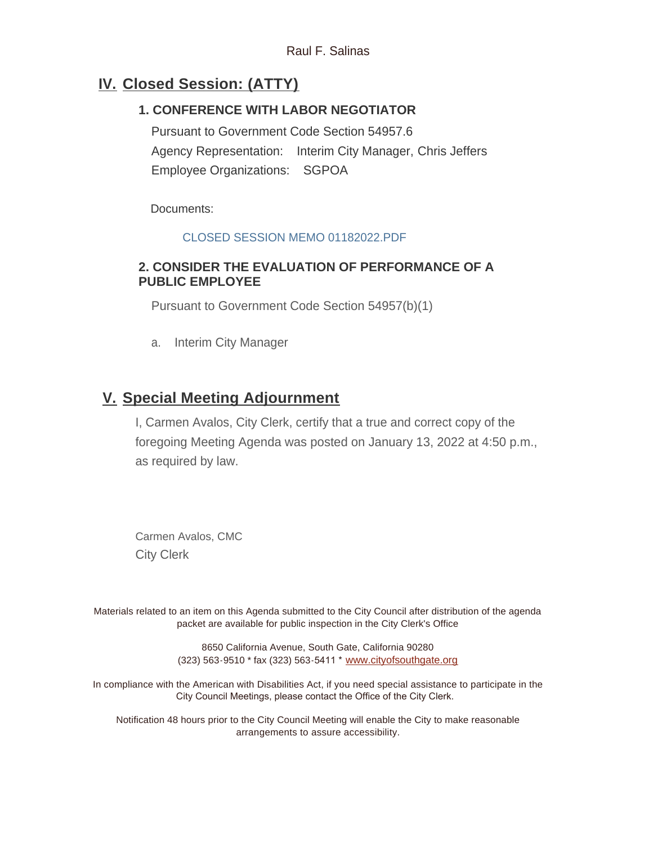#### **Closed Session: (ATTY) IV.**

#### **1. CONFERENCE WITH LABOR NEGOTIATOR**

Pursuant to Government Code Section 54957.6 Agency Representation: Interim City Manager, Chris Jeffers Employee Organizations: SGPOA

Documents:

#### CLOSED SESSION MEMO 01182022 PDF

#### **2. CONSIDER THE EVALUATION OF PERFORMANCE OF A PUBLIC EMPLOYEE**

Pursuant to Government Code Section 54957(b)(1)

a. Interim City Manager

#### **Special Meeting Adjournment V.**

I, Carmen Avalos, City Clerk, certify that a true and correct copy of the foregoing Meeting Agenda was posted on January 13, 2022 at 4:50 p.m., as required by law.

Carmen Avalos, CMC City Clerk

Materials related to an item on this Agenda submitted to the City Council after distribution of the agenda packet are available for public inspection in the City Clerk's Office

> 8650 California Avenue, South Gate, California 90280 (323) 563-9510 \* fax (323) 563-5411 \* [www.cityofsouthgate.org](http://www.cityofsouthgate.org/)

In compliance with the American with Disabilities Act, if you need special assistance to participate in the City Council Meetings, please contact the Office of the City Clerk.

Notification 48 hours prior to the City Council Meeting will enable the City to make reasonable arrangements to assure accessibility.